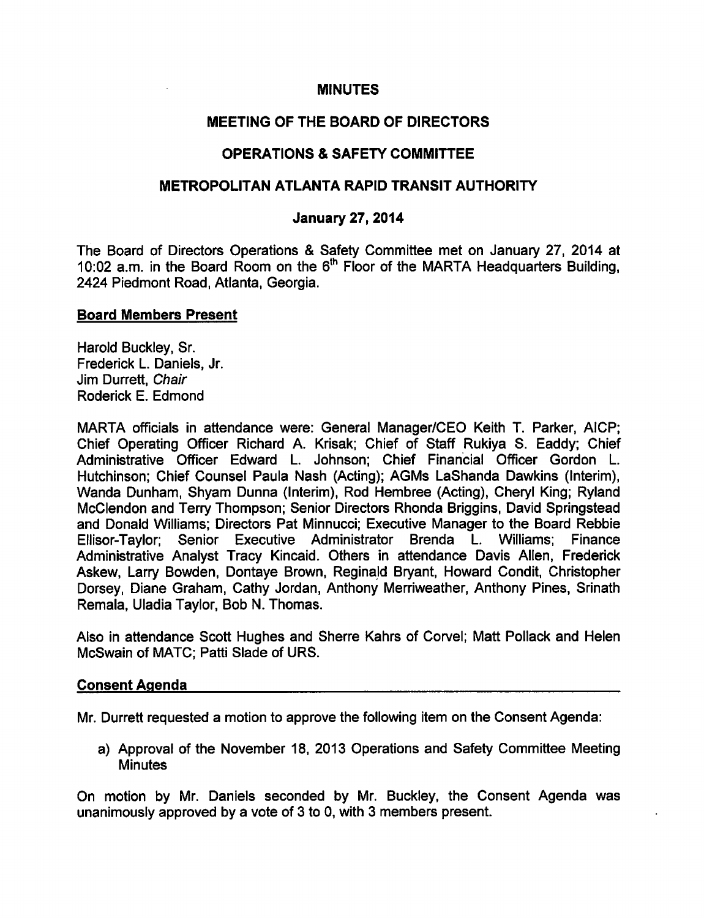#### MINUTES

## MEETING OF THE BOARD OF DIRECTORS

## OPERATIONS SAFETY COMMITTEE

### METROPOLITAN ATLANTA RAPID TRANSIT AUTHORITY

#### January 27, 2014

The Board of Directors Operations & Safety Committee met on January 27, 2014 at 10:02 a.m. in the Board Room on the 6<sup>th</sup> Floor of the MARTA Headquarters Building. 2424 Piedmont Road, Atlanta, Georgia.

#### Board Members Present

Harold Buckley, Sr. Frederick L. Daniels, Jr. Jim Durrett, Chair Roderick E. Edmond

MARTA officials in attendance were: General Manager/CEO Keith T. Parker, AICP; Chief Operating Officer Richard A. Krisak; Chief of Staff Rukiya S. Eaddy; Chief Administrative Officer Edward L. Johnson; Chief Financial Officer Gordon L. Hutchinson; Chief Counsel Paula Nash (Acting); AGMs LaShanda Dawkins (Interim), Wanda Dunham, Shyam Dunna (Interim), Rod Hembree (Acting), Cheryl King; Ryland McClendon and Terry Thompson; Senior Directors Rhonda Briggins, David Springstead and Donald Williams; Directors Pat Minnucci; Executive Manager to the Board Rebbie Ellisor-Taylor; Senior Executive Administrator Brenda L. Williams; Finance Administrative Analyst Tracy Kincaid. Others in attendance Davis Allen, Frederick Askew, Larry Bowden, Dontaye Brown, Reginald Bryant, Howard Condit, Christopher Dorsey, Diane Graham, Cathy Jordan, Anthony Merriweather, Anthony Pines, Srinath Remala, Uladia Taylor, Bob N. Thomas.

Also in attendance Scott Hughes and Sherre Kahrs of Corvel; Matt Pollack and Helen McSwain of MATC; Patti Slade of URS.

#### Consent Agenda

Mr. Durrett requested a motion to approve the following item on the Consent Agenda:

a) Approval of the November 18, 2013 Operations and Safety Committee Meeting **Minutes** 

On motion by Mr. Daniels seconded by Mr. Buckley, the Consent Agenda was unanimously approved by a vote of 3 to 0, with 3 members present.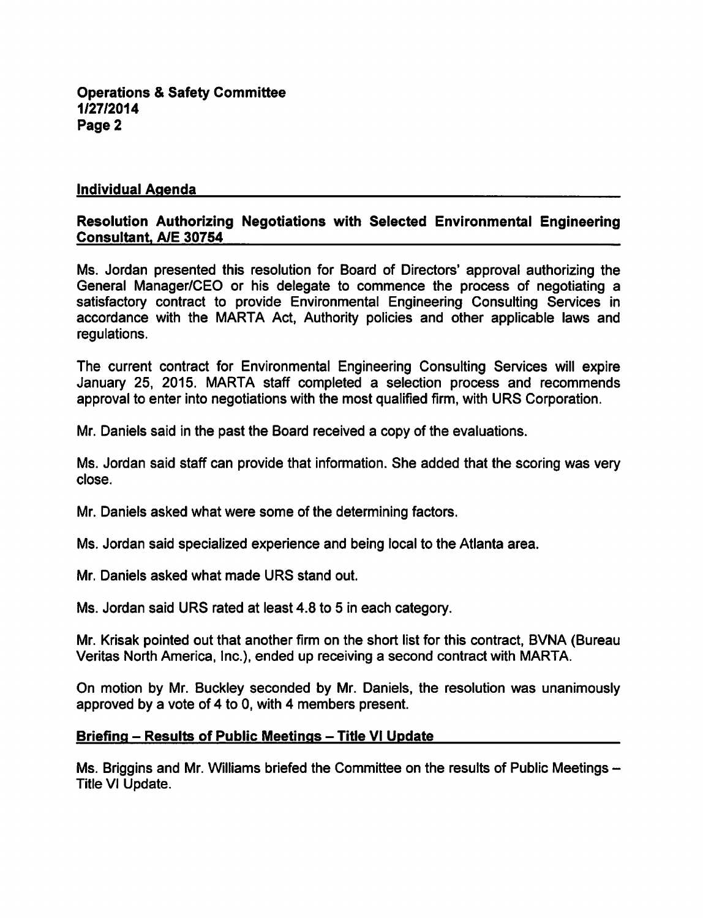#### Individual Agenda

#### Resolution Authorizing Negotiations with Selected Environmental Engineering Consultant, A/E 30754

Ms. Jordan presented this resolution for Board of Directors' approval authorizing the General Manager/CEO or his delegate to commence the process of negotiating satisfactory contract to provide Environmental Engineering Consulting Services in accordance with the MARTA Act, Authority policies and other applicable laws and regulations.

The current contract for Environmental Engineering Consulting Services will expire January 25, 2015. MARTA staff completed a selection process and recommends approval to enter into negotiations with the most qualified firm, with URS Corporation.

Mr. Daniels said in the past the Board received a copy of the evaluations.

Ms. Jordan said staff can provide that information. She added that the scoring was very close.

Mr. Daniels asked what were some of the determining factors.

Ms. Jordan said specialized experience and being local to the Atlanta area.

Mr. Daniels asked what made URS stand out.

Ms. Jordan said URS rated at least 4.8 to 5 in each category.

Mr. Krisak pointed out that another firm on the short list for this contract, BVNA (Bureau Veritas North America, Inc.), ended up receiving a second contract with MARTA.

On motion by Mr. Buckley seconded by Mr. Daniels, the resolution was unanimously approved by a vote of 4 to 0, with 4 members present.

#### Briefing – Results of Public Meetings – Title VI Update

Ms. Briggins and Mr. Williams briefed the Committee on the results of Public Meetings – Title VI Update.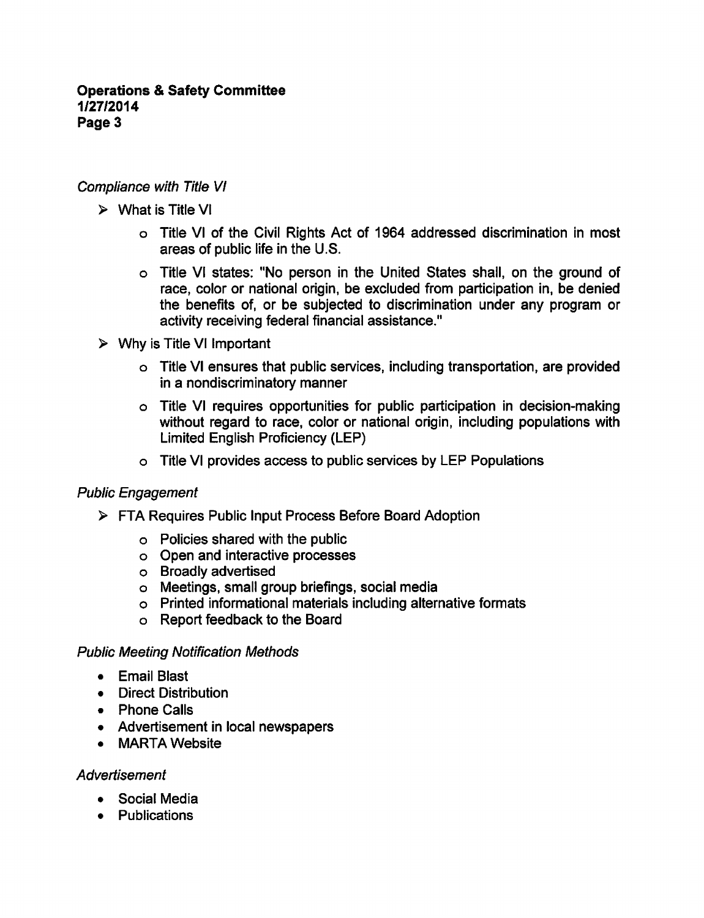## Compliance with Title VI

- $\triangleright$  What is Title VI
	- Title VI of the Civil Rights Act of 1964 addressed discrimination in most areas of public life in the U.S.
	- Title VI states: "No person in the United States shall, on the ground of race, color or national origin, be excluded from participation in, be denied the benefits of, or be subjected to discrimination under any program or activity receiving federal financial assistance."
- $\triangleright$  Why is Title VI Important
	- Title VI ensures that public services, including transportation, are provided in a nondiscriminatory manner
	- Title VI requires opportunities for public participation in decision-making without regard to race, color or national origin, including populations with Limited English Proficiency (LEP)
	- Title VI provides access to public services by LEP Populations

# Public Engagement

- FTA Requires Public Input Process Before Board Adoption
	- Policies shared with the public
	- Open and interactive processes
	- Broadly advertised
	- Meetings, small group briefings, social media
	- Printed informational materials including alternative formats
	- Report feedback to the Board

## Public Meeting Notification Methods

- Email Blast
- Direct Distribution
- Phone Calls
- Advertisement in local newspapers
- MARTA Website

## **Advertisement**

- Social Media
- Publications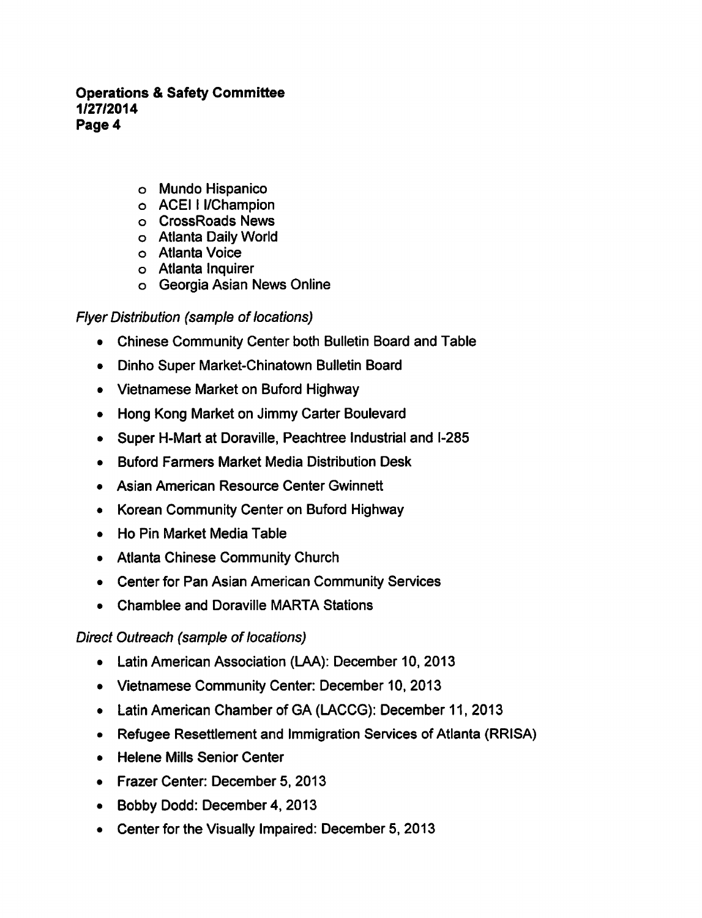- Mundo Hispanico
- ACEII I/Champion
- CrossRoads News
- Atlanta Daily World
- Atlanta Voice
- Atlanta Inquirer
- Georgia Asian News Online

# Flyer Distribution (sample of locations)

- Chinese Community Center both Bulletin Board and Table
- Dinho Super Market-Chinatown Bulletin Board
- Vietnamese Market on Buford Highway
- Hong Kong Market on Jimmy Carter Boulevard
- Super H-Mart at Doraville, Peachtree Industrial and I-285
- Buford Farmers Market Media Distribution Desk
- Asian American Resource Center Gwinnett
- Korean Community Center on Buford Highway
- Ho Pin Market Media Table
- Atlanta Chinese Community Church
- Center for Pan Asian American Community Services
- Chamblee and Doraville MARTA Stations

# Direct Outreach (sample of locations)

- Latin American Association (LAA): December 10, 2013
- Vietnamese Community Center: December 10, 2013
- Latin American Chamber of GA (LACCG): December 11, 2013
- Refugee Resettlement and Immigration Services of Atlanta (RRISA)
- Helene Mills Senior Center
- Frazer Center: December 5, 2013
- Bobby Dodd: December 4, 2013
- Center for the Visually Impaired: December 5, 2013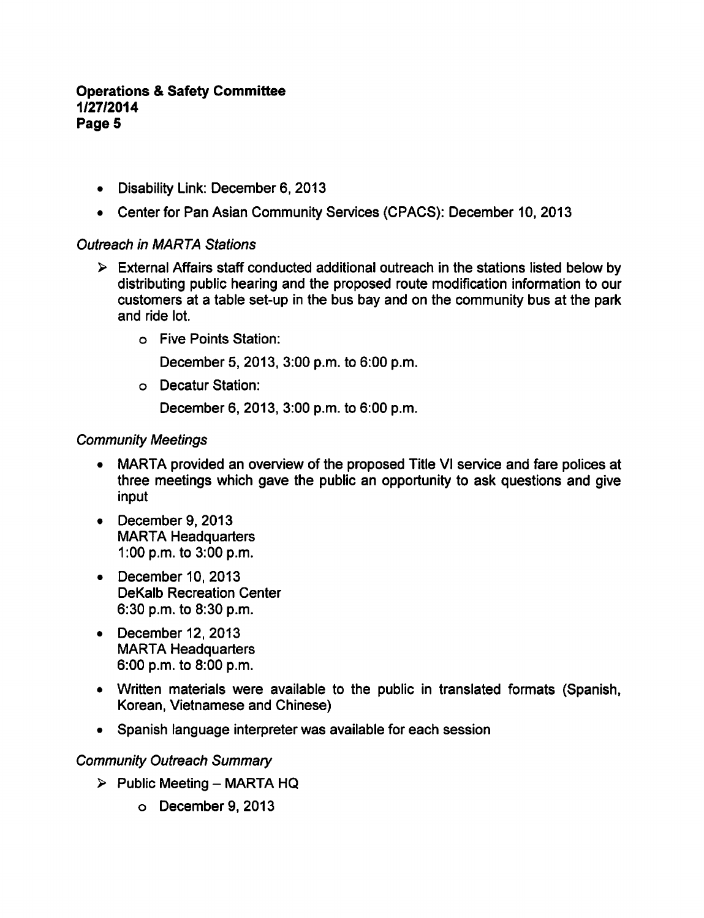- Disability Link: December 6, 2013
- Center for Pan Asian Community Services (CPACS): December 10, 2013

#### Outreach in MARTA Stations

- $\triangleright$  External Affairs staff conducted additional outreach in the stations listed below by distributing public hearing and the proposed route modification information to our customers at a table set-up in the bus bay and on the community bus at the park and ride lot.
	- Five Points Station:

December 5, 2013, 3:00 p.m. to 6:00 p.m.

Decatur Station:

December 6, 2013, 3:00 p.m. to 6:00 p.m.

## Community Meetings

- MARTA provided an overview of the proposed Title VI service and fare polices at  $\bullet$ three meetings which gave the public an opportunity to ask questions and give input
- December 9, 2013 MARTA Headquarters 1:00 p.m. to 3:00 p.m.
- December 10, 2013 DeKalb Recreation Center 6:30 p.m. to 8:30 p.m.
- $\bullet$  December 12, 2013 MARTA Headquarters 6:00 p.m. to 8:00 p.m.
- Written materials were available to the public in translated formats (Spanish, Korean, Vietnamese and Chinese)
- Spanish language interpreter was available for each session

## Community Outreach Summary

- $\triangleright$  Public Meeting MARTA HQ
	- $O$  December 9, 2013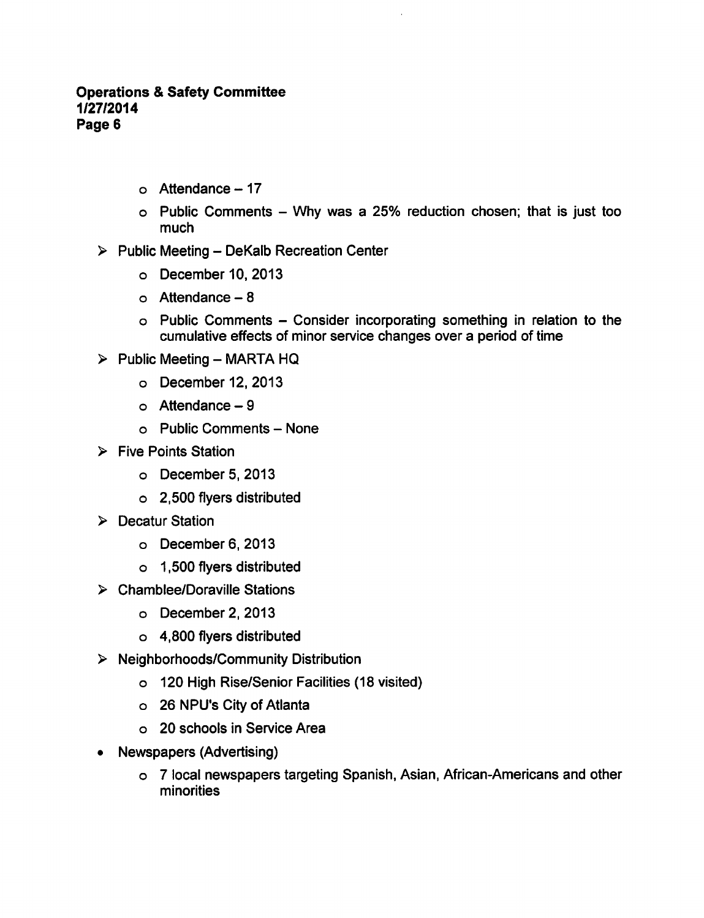- $\circ$  Attendance 17
- $\circ$  Public Comments Why was a 25% reduction chosen; that is just too much

# $\triangleright$  Public Meeting - DeKalb Recreation Center

- $O$  December 10, 2013
- $\circ$  Attendance  $-8$
- $\circ$  Public Comments Consider incorporating something in relation to the cumulative effects of minor service changes over a period of time
- $\triangleright$  Public Meeting MARTA HQ
	- $O$  December 12, 2013
	- $\circ$  Attendance  $-9$
	- $\circ$  Public Comments None
- $\triangleright$  Five Points Station
	- December 5, 2013
	- 2,500 flyers distributed
- > Decatur Station
	- o December 6, 2013
	- 1,500 flyers distributed
- Chamblee/Doraville Stations
	- December 2, 2013
	- 4,800 flyers distributed
- $\triangleright$  Neighborhoods/Community Distribution
	- 120 High Rise/Senior Facilities (18 visited)
	- o 26 NPU's City of Atlanta
	- 20 schools in Service Area
- Newspapers (Advertising)
	- o 7 local newspapers targeting Spanish, Asian, African-Americans and other minorities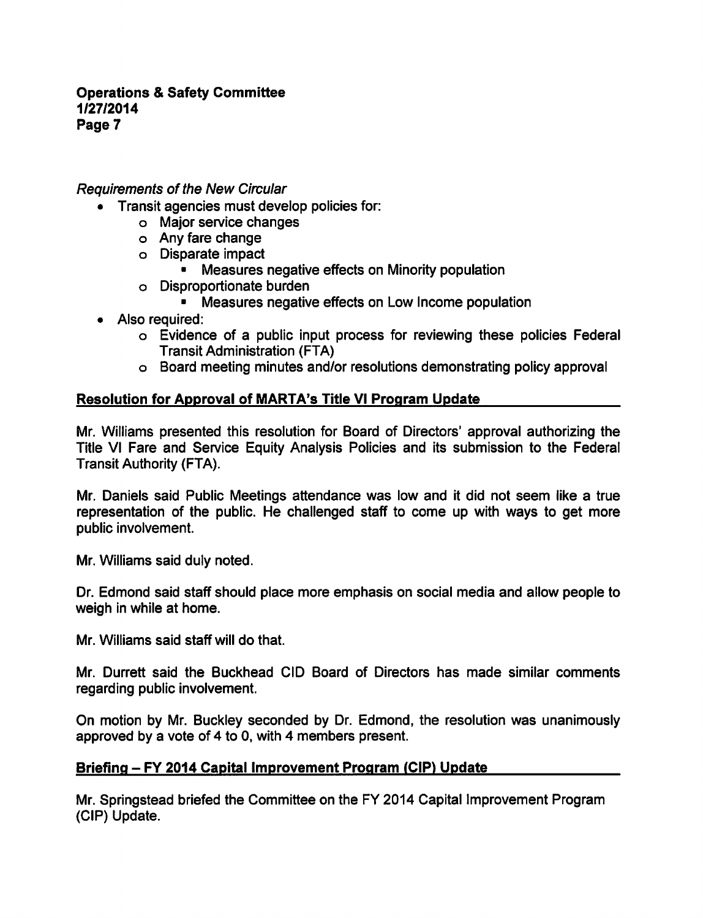#### Requirements of the New Circular

- Transit agencies must develop policies for:
	- Major service changes
	- Any fare change
	- Disparate impact
		- **Measures negative effects on Minority population**
	- Disproportionate burden
		- Measures negative effects on Low Income population
- Also required:
	- o Evidence of a public input process for reviewing these policies Federal Transit Administration (FTA)
	- Board meeting minutes and/or resolutions demonstrating policy approval

## Resolution for Approval of MARTA's Title VI Program Update

Mr. Williams presented this resolution for Board of Directors' approval authorizing the Title VI Fare and Service Equity Analysis Policies and its submission to the Federal Transit Authority (FTA).

Mr. Daniels said Public Meetings attendance was low and it did not seem like a true representation of the public. He challenged staff to come up with ways to get more public involvement.

Mr. Williams said duly noted.

Dr. Edmond said staff should place more emphasis on social media and allow people to weigh in while at home.

Mr. Williams said staff will do that.

Mr. Durrett said the Buckhead CID Board of Directors has made similar comments regarding public involvement.

On motion by Mr. Buckley seconded by Dr. Edmond, the resolution was unanimously approved by a vote of 4 to 0, with 4 members present.

## Briefing - FY 2014 Capital Improvement Program (CIP) Update

Mr. Springstead briefed the Committee on the FY 2014 Capital Improvement Program (CIP) Update.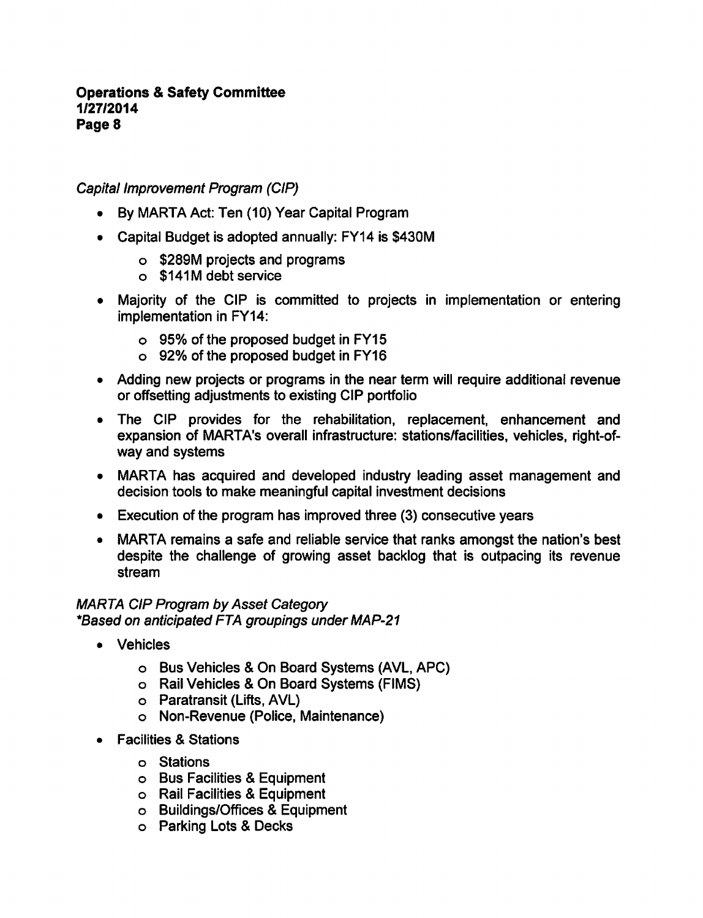# Capital Improvement Program (CIP)

- By MARTA Act: Ten (10) Year Capital Program
- Capital Budget is adopted annually: FY14 is \$430M
	- \$289M projects and programs
	- \$141M debt service
- Majority of the CIP is committed to projects in implementation or entering implementation in FY14:
	- 95% of the proposed budget in FY15
	- 92% of the proposed budget in FY16
- Adding new projects or programs in the near term will require additional revenue or offsetting adjustments to existing CIP portfolio
- The CIP provides for the rehabilitation, replacement, enhancement and expansion of MARTA's overall infrastructure: stations/facilities, vehicles, right-ofway and systems
- MARTA has acquired and developed industry leading asset management and decision tools to make meaningful capital investment decisions
- Execution of the program has improved three (3) consecutive years
- MARTA remains a safe and reliable service that ranks amongst the nation's best despite the challenge of growing asset backlog that is outpacing its revenue stream

#### MARTA CIP Program by Asset Category \*Based on anticipated FTA groupings under MAP-21

- Vehicles
	- o Bus Vehicles & On Board Systems (AVL, APC)
	- o Rail Vehicles & On Board Systems (FIMS)
	- Paratransit (Lifts, AVL)
	- Non-Revenue (Police, Maintenance)
- Facilities & Stations
	- Stations
	- o Bus Facilities & Equipment
	- o Rail Facilities & Equipment
	- Buildings/Offices Equipment
	- o Parking Lots & Decks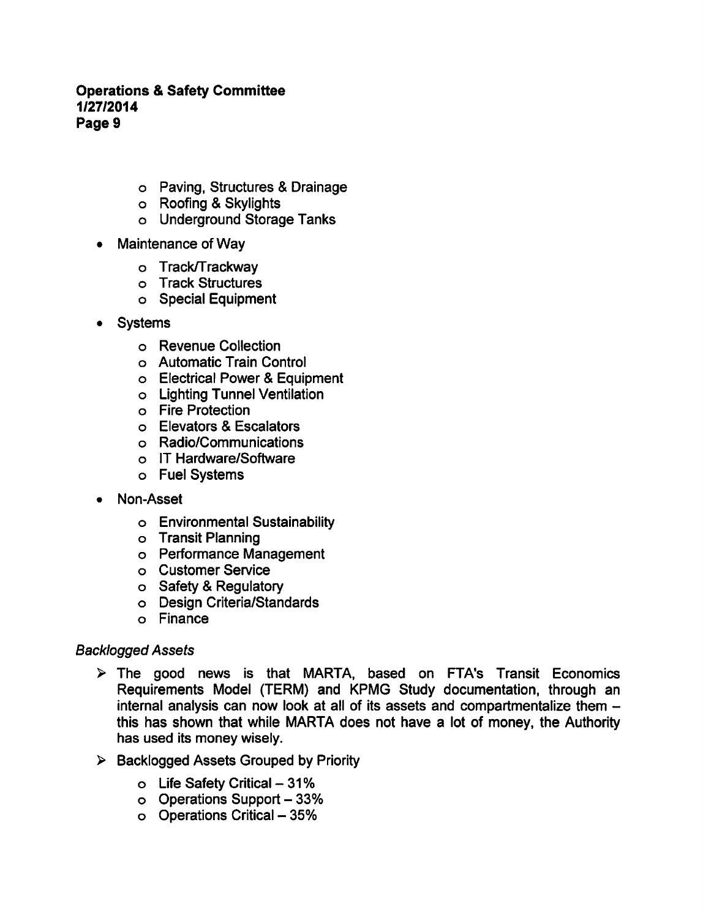- o Paving, Structures & Drainage
- o Roofing & Skylights
- Underground Storage Tanks
- Maintenance of Way  $\bullet$ 
	- o Track/Trackway
	- Track Structures
	- Special Equipment
- Systems
	- Revenue Collection
	- Automatic Train Control
	- o Electrical Power & Equipment
	- Lighting Tunnel Ventilation
	- Fire Protection
	- Elevators Escalators
	- Radio/Communications
	- IT Hardware/Software
	- Fuel Systems
- Non-Asset  $\bullet$ 
	- Environmental Sustainability
	- o Transit Planning
	- Performance Management
	- Customer Service
	- o Safety & Regulatory
	- Design Criteria/Standards
	- Finance

## Backlogged Assets

- $\triangleright$  The good news is that MARTA, based on FTA's Transit Economics Requirements Model (TERM) and KPMG Study documentation, through an internal analysis can now look at all of its assets and compartmentalize them this has shown that while MARTA does not have a lot of money, the Authority has used its money wisely.
- $\triangleright$  Backlogged Assets Grouped by Priority
	- $\circ$  Life Safety Critical 31%
	- o Operations Support 33%
	- o Operations Critical 35%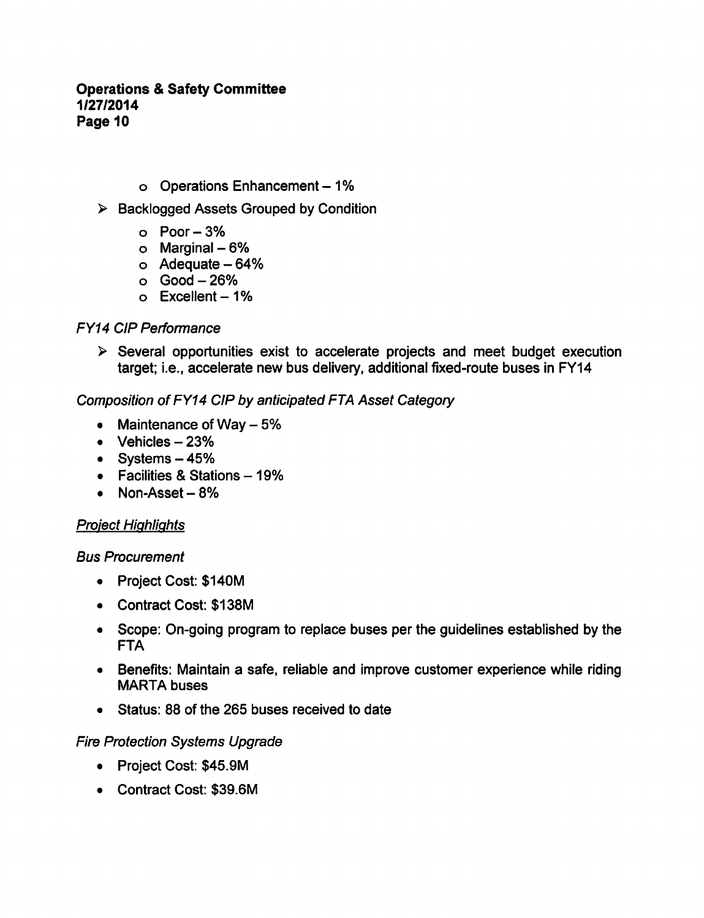- o Operations Enhancement 1%
- ▶ Backlogged Assets Grouped by Condition
	- $o$  Poor  $-3%$
	- $\circ$  Marginal  $-6\%$
	- $\circ$  Adequate  $-64\%$
	- $O$  Good  $-26%$
	- $\circ$  Excellent 1%

## FY14 CIP Performance

 $\triangleright$  Several opportunities exist to accelerate projects and meet budget execution target; i.e., accelerate new bus delivery, additional fixed-route buses in FY14

# Composition ofFY14 CIP by anticipated FTA Asset Category

- Maintenance of Way  $-5%$  $\bullet$
- $\bullet$  Vehicles  $-23\%$
- $\bullet$  Systems  $-45%$
- $\bullet$  Facilities & Stations 19%
- $\bullet$  Non-Asset 8%

# Project Highlights

## Bus Procurement

- Project Cost: \$140M
- Contract Cost: \$138M
- Scope: On-going program to replace buses per the guidelines established by the FTA
- Benefits: Maintain a safe, reliable and improve customer experience while riding MARTA buses
- Status: 88 of the 265 buses received to date

## Fire Protection Systems Upgrade

- Project Cost: \$45.9M
- Contract Cost: \$39.6M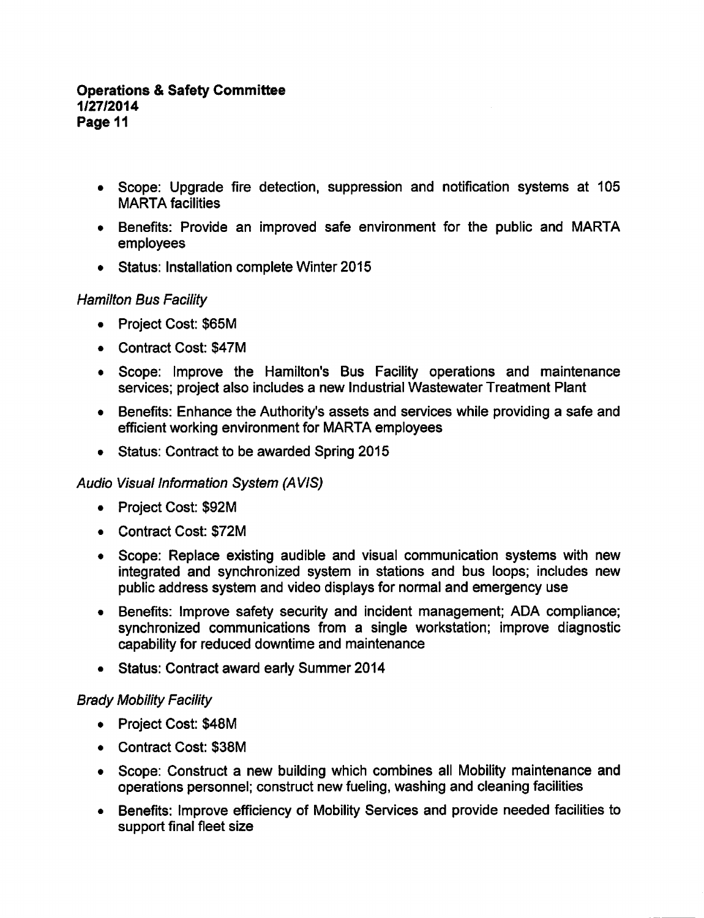- Scope: Upgrade fire detection, suppression and notification systems at 105 MARTA facilities
- Benefits: Provide an improved safe environment for the public and MARTA employees
- Status: Installation complete Winter 2015

# Hamilton Bus Facility

- Project Cost: \$65M
- Contract Cost: \$47M
- Scope: Improve the Hamilton's Bus Facility operations and maintenance services; project also includes a new Industrial Wastewater Treatment Plant
- Benefits: Enhance the Authority's assets and services while providing a safe and efficient working environment for MARTA employees
- Status: Contract to be awarded Spring 2015

## Audio Visual Information System (AVIS)

- Project Cost: \$92M
- Contract Cost: \$72M
- Scope: Replace existing audible and visual communication systems with new integrated and synchronized system in stations and bus loops; includes new public address system and video displays for normal and emergency use
- Benefits: Improve safety security and incident management; ADA compliance; synchronized communications from a single workstation; improve diagnostic capability for reduced downtime and maintenance
- Status: Contract award early Summer 2014

## Brady Mobility Facility

- Project Cost: \$48M
- Contract Cost: \$38M
- Scope: Construct a new building which combines all Mobility maintenance and operations personnel; construct new fueling, washing and cleaning facilities
- Benefits: Improve efficiency of Mobility Services and provide needed facilities to support final fleet size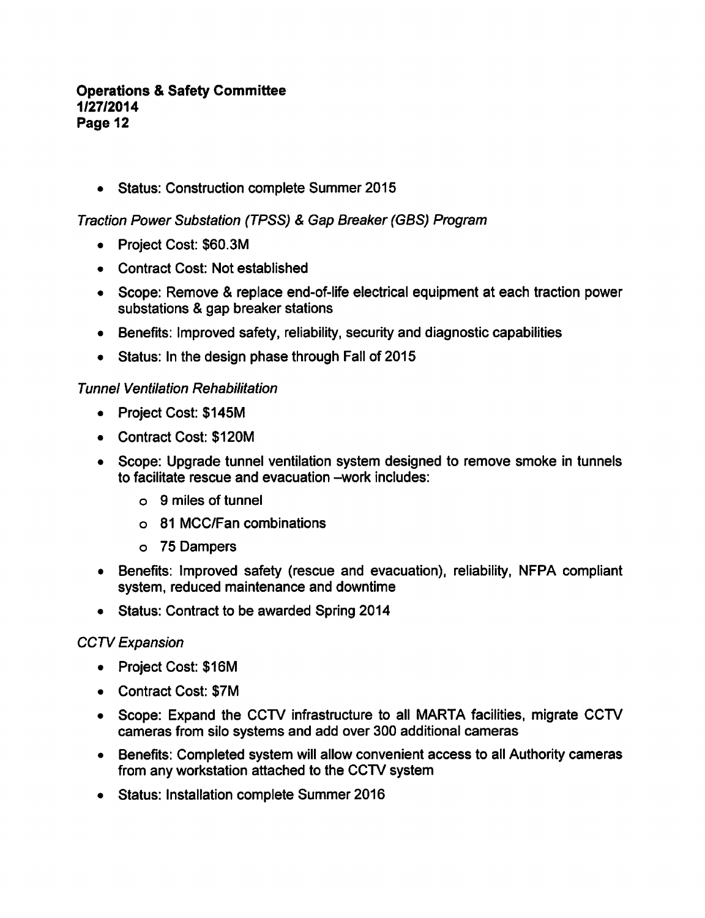Status: Construction complete Summer 2015

Traction Power Substation (TPSS) & Gap Breaker (GBS) Program

- Project Cost: \$60.3M
- Contract Cost: Not established
- Scope: Remove & replace end-of-life electrical equipment at each traction power substations & gap breaker stations
- Benefits: Improved safety, reliability, security and diagnostic capabilities  $\bullet$
- Status: In the design phase through Fall of 2015

## Tunnel Ventilation Rehabilitation

- Project Cost: \$145M
- Contract Cost: \$120M
- Scope: Upgrade tunnel ventilation system designed to remove smoke in tunnels to facilitate rescue and evacuation -work includes:
	- $\circ$  9 miles of tunnel
	- 81 MCC/Fan combinations
	- 75 Dampers
- Benefits: Improved safety (rescue and evacuation), reliability, NFPA compliant system, reduced maintenance and downtime
- Status: Contract to be awarded Spring 2014

## CCTV Expansion

- Project Cost: \$16M
- Contract Cost: \$7M
- Scope: Expand the CCTV infrastructure to all MARTA facilities, migrate CCTV cameras from silo systems and add over 300 additional cameras
- Benefits: Completed system will allow convenient access to all Authority cameras  $\bullet$ from any workstation attached to the CCTV system
- Status: Installation complete Summer 2016